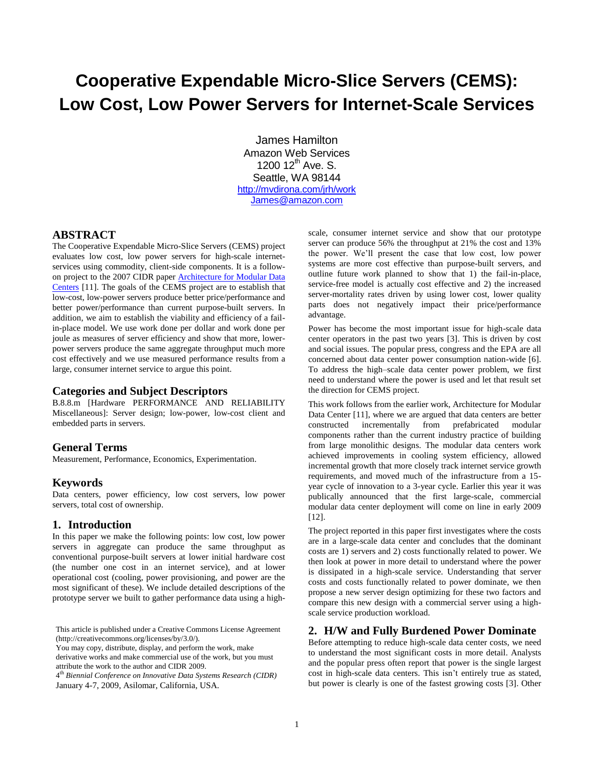# **Cooperative Expendable Micro-Slice Servers (CEMS): Low Cost, Low Power Servers for Internet-Scale Services**

James Hamilton Amazon Web Services 1200  $12^{th}$  Ave. S. Seattle, WA 98144 <http://mvdirona.com/jrh/work> [James@amazon.com](mailto:James@amazon.com)

# **ABSTRACT**

The Cooperative Expendable Micro-Slice Servers (CEMS) project evaluates low cost, low power servers for high-scale internetservices using commodity, client-side components. It is a followon project to the 2007 CIDR pape[r Architecture for Modular Data](http://mvdirona.com/jrh/talksAndPapers/JamesRH_CIDR.doc)  [Centers](http://mvdirona.com/jrh/talksAndPapers/JamesRH_CIDR.doc) [11]. The goals of the CEMS project are to establish that low-cost, low-power servers produce better price/performance and better power/performance than current purpose-built servers. In addition, we aim to establish the viability and efficiency of a failin-place model. We use work done per dollar and work done per joule as measures of server efficiency and show that more, lowerpower servers produce the same aggregate throughput much more cost effectively and we use measured performance results from a large, consumer internet service to argue this point.

## **Categories and Subject Descriptors**

B.8.8.m [Hardware PERFORMANCE AND RELIABILITY Miscellaneous]: Server design; low-power, low-cost client and embedded parts in servers.

## **General Terms**

Measurement, Performance, Economics, Experimentation.

# **Keywords**

Data centers, power efficiency, low cost servers, low power servers, total cost of ownership.

### **1. Introduction**

In this paper we make the following points: low cost, low power servers in aggregate can produce the same throughput as conventional purpose-built servers at lower initial hardware cost (the number one cost in an internet service), and at lower operational cost (cooling, power provisioning, and power are the most significant of these). We include detailed descriptions of the prototype server we built to gather performance data using a high-

This article is published under a Creative Commons License Agreement (http://creativecommons.org/licenses/by/3.0/).

You may copy, distribute, display, and perform the work, make derivative works and make commercial use of the work, but you must attribute the work to the author and CIDR 2009.

4 th *Biennial Conference on Innovative Data Systems Research (CIDR)*  January 4-7, 2009, Asilomar, California, USA.

scale, consumer internet service and show that our prototype server can produce 56% the throughput at 21% the cost and 13% the power. We'll present the case that low cost, low power systems are more cost effective than purpose-built servers, and outline future work planned to show that 1) the fail-in-place, service-free model is actually cost effective and 2) the increased server-mortality rates driven by using lower cost, lower quality parts does not negatively impact their price/performance advantage.

Power has become the most important issue for high-scale data center operators in the past two years [3]. This is driven by cost and social issues. The popular press, congress and the EPA are all concerned about data center power consumption nation-wide [6]. To address the high–scale data center power problem, we first need to understand where the power is used and let that result set the direction for CEMS project.

This work follows from the earlier work, Architecture for Modular Data Center [11], where we are argued that data centers are better constructed incrementally from prefabricated modular components rather than the current industry practice of building from large monolithic designs. The modular data centers work achieved improvements in cooling system efficiency, allowed incremental growth that more closely track internet service growth requirements, and moved much of the infrastructure from a 15 year cycle of innovation to a 3-year cycle. Earlier this year it was publically announced that the first large-scale, commercial modular data center deployment will come on line in early 2009 [12].

The project reported in this paper first investigates where the costs are in a large-scale data center and concludes that the dominant costs are 1) servers and 2) costs functionally related to power. We then look at power in more detail to understand where the power is dissipated in a high-scale service. Understanding that server costs and costs functionally related to power dominate, we then propose a new server design optimizing for these two factors and compare this new design with a commercial server using a highscale service production workload.

## **2. H/W and Fully Burdened Power Dominate**

Before attempting to reduce high-scale data center costs, we need to understand the most significant costs in more detail. Analysts and the popular press often report that power is the single largest cost in high-scale data centers. This isn't entirely true as stated, but power is clearly is one of the fastest growing costs [3]. Other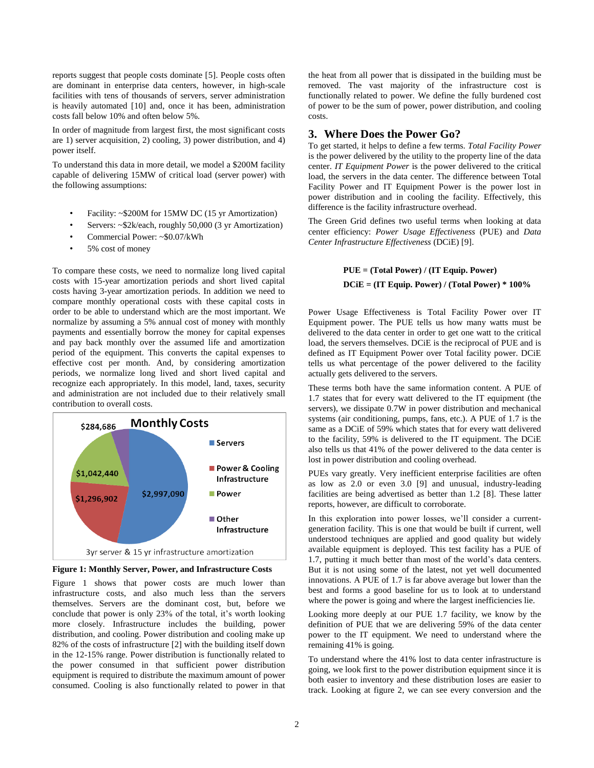reports suggest that people costs dominate [5]. People costs often are dominant in enterprise data centers, however, in high-scale facilities with tens of thousands of servers, server administration is heavily automated [10] and, once it has been, administration costs fall below 10% and often below 5%.

In order of magnitude from largest first, the most significant costs are 1) server acquisition, 2) cooling, 3) power distribution, and 4) power itself.

To understand this data in more detail, we model a \$200M facility capable of delivering 15MW of critical load (server power) with the following assumptions:

- Facility: ~\$200M for 15MW DC (15 yr Amortization)
- Servers: ~\$2k/each, roughly 50,000 (3 yr Amortization)
- Commercial Power: ~\$0.07/kWh
- 5% cost of money

To compare these costs, we need to normalize long lived capital costs with 15-year amortization periods and short lived capital costs having 3-year amortization periods. In addition we need to compare monthly operational costs with these capital costs in order to be able to understand which are the most important. We normalize by assuming a 5% annual cost of money with monthly payments and essentially borrow the money for capital expenses and pay back monthly over the assumed life and amortization period of the equipment. This converts the capital expenses to effective cost per month. And, by considering amortization periods, we normalize long lived and short lived capital and recognize each appropriately. In this model, land, taxes, security and administration are not included due to their relatively small contribution to overall costs.



**Figure 1: Monthly Server, Power, and Infrastructure Costs**

Figure 1 shows that power costs are much lower than infrastructure costs, and also much less than the servers themselves. Servers are the dominant cost, but, before we conclude that power is only 23% of the total, it's worth looking more closely. Infrastructure includes the building, power distribution, and cooling. Power distribution and cooling make up 82% of the costs of infrastructure [2] with the building itself down in the 12-15% range. Power distribution is functionally related to the power consumed in that sufficient power distribution equipment is required to distribute the maximum amount of power consumed. Cooling is also functionally related to power in that the heat from all power that is dissipated in the building must be removed. The vast majority of the infrastructure cost is functionally related to power. We define the fully burdened cost of power to be the sum of power, power distribution, and cooling costs.

# **3. Where Does the Power Go?**

To get started, it helps to define a few terms. *Total Facility Power* is the power delivered by the utility to the property line of the data center. *IT Equipment Power* is the power delivered to the critical load, the servers in the data center. The difference between Total Facility Power and IT Equipment Power is the power lost in power distribution and in cooling the facility. Effectively, this difference is the facility infrastructure overhead.

The Green Grid defines two useful terms when looking at data center efficiency: *Power Usage Effectiveness* (PUE) and *Data Center Infrastructure Effectiveness* (DCiE) [9].

# **PUE = (Total Power) / (IT Equip. Power) DCiE = (IT Equip. Power) / (Total Power) \* 100%**

Power Usage Effectiveness is Total Facility Power over IT Equipment power. The PUE tells us how many watts must be delivered to the data center in order to get one watt to the critical load, the servers themselves. DCiE is the reciprocal of PUE and is defined as IT Equipment Power over Total facility power. DCiE tells us what percentage of the power delivered to the facility actually gets delivered to the servers.

These terms both have the same information content. A PUE of 1.7 states that for every watt delivered to the IT equipment (the servers), we dissipate 0.7W in power distribution and mechanical systems (air conditioning, pumps, fans, etc.). A PUE of 1.7 is the same as a DCiE of 59% which states that for every watt delivered to the facility, 59% is delivered to the IT equipment. The DCiE also tells us that 41% of the power delivered to the data center is lost in power distribution and cooling overhead.

PUEs vary greatly. Very inefficient enterprise facilities are often as low as 2.0 or even 3.0 [9] and unusual, industry-leading facilities are being advertised as better than 1.2 [8]. These latter reports, however, are difficult to corroborate.

In this exploration into power losses, we'll consider a currentgeneration facility. This is one that would be built if current, well understood techniques are applied and good quality but widely available equipment is deployed. This test facility has a PUE of 1.7, putting it much better than most of the world's data centers. But it is not using some of the latest, not yet well documented innovations. A PUE of 1.7 is far above average but lower than the best and forms a good baseline for us to look at to understand where the power is going and where the largest inefficiencies lie.

Looking more deeply at our PUE 1.7 facility, we know by the definition of PUE that we are delivering 59% of the data center power to the IT equipment. We need to understand where the remaining 41% is going.

To understand where the 41% lost to data center infrastructure is going, we look first to the power distribution equipment since it is both easier to inventory and these distribution loses are easier to track. Looking at figure 2, we can see every conversion and the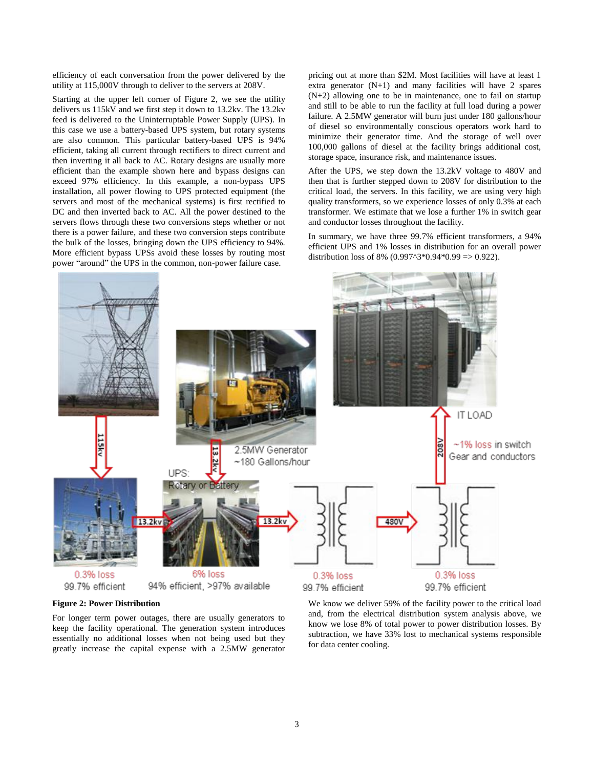efficiency of each conversation from the power delivered by the utility at 115,000V through to deliver to the servers at 208V.

Starting at the upper left corner of Figure 2, we see the utility delivers us 115kV and we first step it down to 13.2kv. The 13.2kv feed is delivered to the Uninterruptable Power Supply (UPS). In this case we use a battery-based UPS system, but rotary systems are also common. This particular battery-based UPS is 94% efficient, taking all current through rectifiers to direct current and then inverting it all back to AC. Rotary designs are usually more efficient than the example shown here and bypass designs can exceed 97% efficiency. In this example, a non-bypass UPS installation, all power flowing to UPS protected equipment (the servers and most of the mechanical systems) is first rectified to DC and then inverted back to AC. All the power destined to the servers flows through these two conversions steps whether or not there is a power failure, and these two conversion steps contribute the bulk of the losses, bringing down the UPS efficiency to 94%. More efficient bypass UPSs avoid these losses by routing most power "around" the UPS in the common, non-power failure case.

pricing out at more than \$2M. Most facilities will have at least 1 extra generator  $(N+1)$  and many facilities will have 2 spares (N+2) allowing one to be in maintenance, one to fail on startup and still to be able to run the facility at full load during a power failure. A 2.5MW generator will burn just under 180 gallons/hour of diesel so environmentally conscious operators work hard to minimize their generator time. And the storage of well over 100,000 gallons of diesel at the facility brings additional cost, storage space, insurance risk, and maintenance issues.

After the UPS, we step down the 13.2kV voltage to 480V and then that is further stepped down to 208V for distribution to the critical load, the servers. In this facility, we are using very high quality transformers, so we experience losses of only 0.3% at each transformer. We estimate that we lose a further 1% in switch gear and conductor losses throughout the facility.

In summary, we have three 99.7% efficient transformers, a 94% efficient UPS and 1% losses in distribution for an overall power distribution loss of 8%  $(0.997^{\text{A}}3*0.94*0.99 \Rightarrow 0.922)$ .



#### **Figure 2: Power Distribution**

For longer term power outages, there are usually generators to keep the facility operational. The generation system introduces essentially no additional losses when not being used but they greatly increase the capital expense with a 2.5MW generator

We know we deliver 59% of the facility power to the critical load and, from the electrical distribution system analysis above, we know we lose 8% of total power to power distribution losses. By subtraction, we have 33% lost to mechanical systems responsible for data center cooling.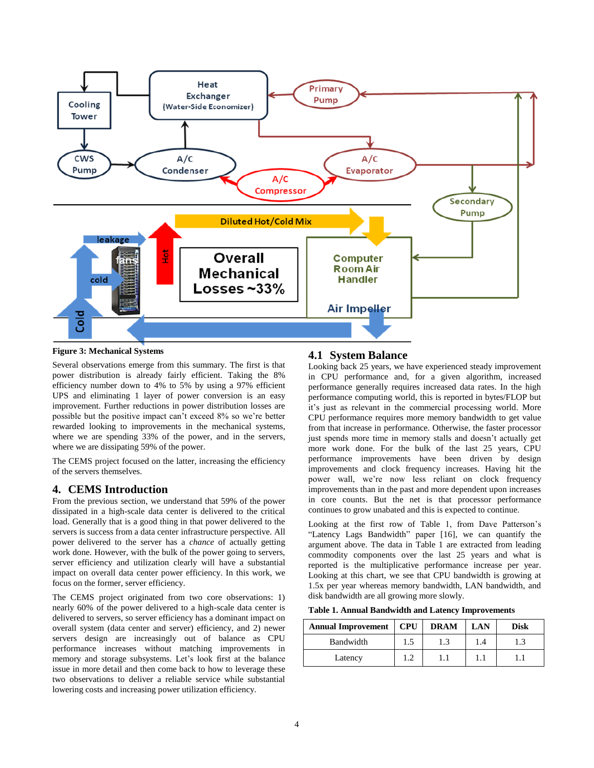

#### **Figure 3: Mechanical Systems**

Several observations emerge from this summary. The first is that power distribution is already fairly efficient. Taking the 8% efficiency number down to 4% to 5% by using a 97% efficient UPS and eliminating 1 layer of power conversion is an easy improvement. Further reductions in power distribution losses are possible but the positive impact can't exceed 8% so we're better rewarded looking to improvements in the mechanical systems, where we are spending 33% of the power, and in the servers, where we are dissipating 59% of the power.

The CEMS project focused on the latter, increasing the efficiency of the servers themselves.

## **4. CEMS Introduction**

From the previous section, we understand that 59% of the power dissipated in a high-scale data center is delivered to the critical load. Generally that is a good thing in that power delivered to the servers is success from a data center infrastructure perspective. All power delivered to the server has a *chance* of actually getting work done. However, with the bulk of the power going to servers, server efficiency and utilization clearly will have a substantial impact on overall data center power efficiency. In this work, we focus on the former, server efficiency.

The CEMS project originated from two core observations: 1) nearly 60% of the power delivered to a high-scale data center is delivered to servers, so server efficiency has a dominant impact on overall system (data center and server) efficiency, and 2) newer servers design are increasingly out of balance as CPU performance increases without matching improvements in memory and storage subsystems. Let's look first at the balance issue in more detail and then come back to how to leverage these two observations to deliver a reliable service while substantial lowering costs and increasing power utilization efficiency.

# **4.1 System Balance**

Looking back 25 years, we have experienced steady improvement in CPU performance and, for a given algorithm, increased performance generally requires increased data rates. In the high performance computing world, this is reported in bytes/FLOP but it's just as relevant in the commercial processing world. More CPU performance requires more memory bandwidth to get value from that increase in performance. Otherwise, the faster processor just spends more time in memory stalls and doesn't actually get more work done. For the bulk of the last 25 years, CPU performance improvements have been driven by design improvements and clock frequency increases. Having hit the power wall, we're now less reliant on clock frequency improvements than in the past and more dependent upon increases in core counts. But the net is that processor performance continues to grow unabated and this is expected to continue.

Looking at the first row of Table 1, from Dave Patterson's "Latency Lags Bandwidth" paper [16], we can quantify the argument above. The data in Table 1 are extracted from leading commodity components over the last 25 years and what is reported is the multiplicative performance increase per year. Looking at this chart, we see that CPU bandwidth is growing at 1.5x per year whereas memory bandwidth, LAN bandwidth, and disk bandwidth are all growing more slowly.

| Table 1. Annual Bandwidth and Latency Improvements |  |
|----------------------------------------------------|--|
|----------------------------------------------------|--|

| <b>Annual Improvement</b> | CPU | <b>DRAM</b> | LAN | Disk |
|---------------------------|-----|-------------|-----|------|
| Bandwidth                 | 1.5 | 1.3         | 1.4 | 1.3  |
| Latency                   | 19  |             |     |      |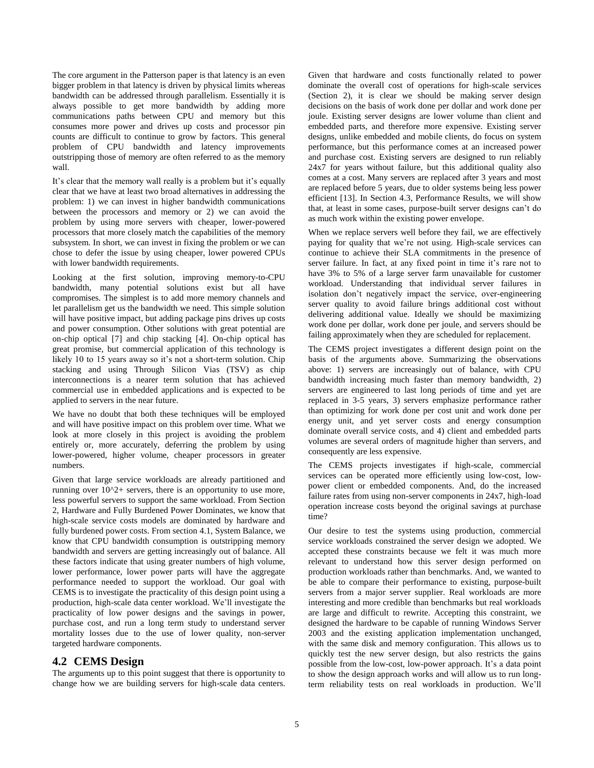The core argument in the Patterson paper is that latency is an even bigger problem in that latency is driven by physical limits whereas bandwidth can be addressed through parallelism. Essentially it is always possible to get more bandwidth by adding more communications paths between CPU and memory but this consumes more power and drives up costs and processor pin counts are difficult to continue to grow by factors. This general problem of CPU bandwidth and latency improvements outstripping those of memory are often referred to as the memory wall.

It's clear that the memory wall really is a problem but it's equally clear that we have at least two broad alternatives in addressing the problem: 1) we can invest in higher bandwidth communications between the processors and memory or 2) we can avoid the problem by using more servers with cheaper, lower-powered processors that more closely match the capabilities of the memory subsystem. In short, we can invest in fixing the problem or we can chose to defer the issue by using cheaper, lower powered CPUs with lower bandwidth requirements.

Looking at the first solution, improving memory-to-CPU bandwidth, many potential solutions exist but all have compromises. The simplest is to add more memory channels and let parallelism get us the bandwidth we need. This simple solution will have positive impact, but adding package pins drives up costs and power consumption. Other solutions with great potential are on-chip optical [7] and chip stacking [4]. On-chip optical has great promise, but commercial application of this technology is likely 10 to 15 years away so it's not a short-term solution. Chip stacking and using Through Silicon Vias (TSV) as chip interconnections is a nearer term solution that has achieved commercial use in embedded applications and is expected to be applied to servers in the near future.

We have no doubt that both these techniques will be employed and will have positive impact on this problem over time. What we look at more closely in this project is avoiding the problem entirely or, more accurately, deferring the problem by using lower-powered, higher volume, cheaper processors in greater numbers.

Given that large service workloads are already partitioned and running over  $10^2$ + servers, there is an opportunity to use more, less powerful servers to support the same workload. From Section 2, Hardware and Fully Burdened Power Dominates, we know that high-scale service costs models are dominated by hardware and fully burdened power costs. From section 4.1, System Balance, we know that CPU bandwidth consumption is outstripping memory bandwidth and servers are getting increasingly out of balance. All these factors indicate that using greater numbers of high volume, lower performance, lower power parts will have the aggregate performance needed to support the workload. Our goal with CEMS is to investigate the practicality of this design point using a production, high-scale data center workload. We'll investigate the practicality of low power designs and the savings in power, purchase cost, and run a long term study to understand server mortality losses due to the use of lower quality, non-server targeted hardware components.

# **4.2 CEMS Design**

The arguments up to this point suggest that there is opportunity to change how we are building servers for high-scale data centers. Given that hardware and costs functionally related to power dominate the overall cost of operations for high-scale services (Section 2), it is clear we should be making server design decisions on the basis of work done per dollar and work done per joule. Existing server designs are lower volume than client and embedded parts, and therefore more expensive. Existing server designs, unlike embedded and mobile clients, do focus on system performance, but this performance comes at an increased power and purchase cost. Existing servers are designed to run reliably 24x7 for years without failure, but this additional quality also comes at a cost. Many servers are replaced after 3 years and most are replaced before 5 years, due to older systems being less power efficient [13]. In Section 4.3, Performance Results, we will show that, at least in some cases, purpose-built server designs can't do as much work within the existing power envelope.

When we replace servers well before they fail, we are effectively paying for quality that we're not using. High-scale services can continue to achieve their SLA commitments in the presence of server failure. In fact, at any fixed point in time it's rare not to have 3% to 5% of a large server farm unavailable for customer workload. Understanding that individual server failures in isolation don't negatively impact the service, over-engineering server quality to avoid failure brings additional cost without delivering additional value. Ideally we should be maximizing work done per dollar, work done per joule, and servers should be failing approximately when they are scheduled for replacement.

The CEMS project investigates a different design point on the basis of the arguments above. Summarizing the observations above: 1) servers are increasingly out of balance, with CPU bandwidth increasing much faster than memory bandwidth, 2) servers are engineered to last long periods of time and yet are replaced in 3-5 years, 3) servers emphasize performance rather than optimizing for work done per cost unit and work done per energy unit, and yet server costs and energy consumption dominate overall service costs, and 4) client and embedded parts volumes are several orders of magnitude higher than servers, and consequently are less expensive.

The CEMS projects investigates if high-scale, commercial services can be operated more efficiently using low-cost, lowpower client or embedded components. And, do the increased failure rates from using non-server components in 24x7, high-load operation increase costs beyond the original savings at purchase time?

Our desire to test the systems using production, commercial service workloads constrained the server design we adopted. We accepted these constraints because we felt it was much more relevant to understand how this server design performed on production workloads rather than benchmarks. And, we wanted to be able to compare their performance to existing, purpose-built servers from a major server supplier. Real workloads are more interesting and more credible than benchmarks but real workloads are large and difficult to rewrite. Accepting this constraint, we designed the hardware to be capable of running Windows Server 2003 and the existing application implementation unchanged, with the same disk and memory configuration. This allows us to quickly test the new server design, but also restricts the gains possible from the low-cost, low-power approach. It's a data point to show the design approach works and will allow us to run longterm reliability tests on real workloads in production. We'll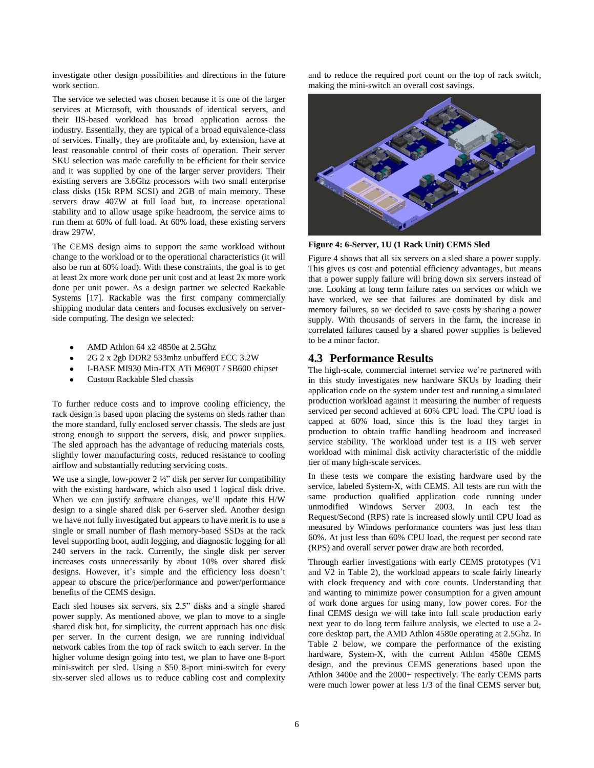investigate other design possibilities and directions in the future work section.

The service we selected was chosen because it is one of the larger services at Microsoft, with thousands of identical servers, and their IIS-based workload has broad application across the industry. Essentially, they are typical of a broad equivalence-class of services. Finally, they are profitable and, by extension, have at least reasonable control of their costs of operation. Their server SKU selection was made carefully to be efficient for their service and it was supplied by one of the larger server providers. Their existing servers are 3.6Ghz processors with two small enterprise class disks (15k RPM SCSI) and 2GB of main memory. These servers draw 407W at full load but, to increase operational stability and to allow usage spike headroom, the service aims to run them at 60% of full load. At 60% load, these existing servers draw 297W.

The CEMS design aims to support the same workload without change to the workload or to the operational characteristics (it will also be run at 60% load). With these constraints, the goal is to get at least 2x more work done per unit cost and at least 2x more work done per unit power. As a design partner we selected Rackable Systems [17]. Rackable was the first company commercially shipping modular data centers and focuses exclusively on serverside computing. The design we selected:

- AMD Athlon 64 x2 4850e at 2.5Ghz
- 2G 2 x 2gb DDR2 533mhz unbufferd ECC 3.2W
- I-BASE MI930 Min-ITX ATi M690T / SB600 chipset
- Custom Rackable Sled chassis

To further reduce costs and to improve cooling efficiency, the rack design is based upon placing the systems on sleds rather than the more standard, fully enclosed server chassis. The sleds are just strong enough to support the servers, disk, and power supplies. The sled approach has the advantage of reducing materials costs, slightly lower manufacturing costs, reduced resistance to cooling airflow and substantially reducing servicing costs.

We use a single, low-power 2 ½" disk per server for compatibility with the existing hardware, which also used 1 logical disk drive. When we can justify software changes, we'll update this H/W design to a single shared disk per 6-server sled. Another design we have not fully investigated but appears to have merit is to use a single or small number of flash memory-based SSDs at the rack level supporting boot, audit logging, and diagnostic logging for all 240 servers in the rack. Currently, the single disk per server increases costs unnecessarily by about 10% over shared disk designs. However, it's simple and the efficiency loss doesn't appear to obscure the price/performance and power/performance benefits of the CEMS design.

Each sled houses six servers, six 2.5" disks and a single shared power supply. As mentioned above, we plan to move to a single shared disk but, for simplicity, the current approach has one disk per server. In the current design, we are running individual network cables from the top of rack switch to each server. In the higher volume design going into test, we plan to have one 8-port mini-switch per sled. Using a \$50 8-port mini-switch for every six-server sled allows us to reduce cabling cost and complexity and to reduce the required port count on the top of rack switch, making the mini-switch an overall cost savings.



**Figure 4: 6-Server, 1U (1 Rack Unit) CEMS Sled**

Figure 4 shows that all six servers on a sled share a power supply. This gives us cost and potential efficiency advantages, but means that a power supply failure will bring down six servers instead of one. Looking at long term failure rates on services on which we have worked, we see that failures are dominated by disk and memory failures, so we decided to save costs by sharing a power supply. With thousands of servers in the farm, the increase in correlated failures caused by a shared power supplies is believed to be a minor factor.

## **4.3 Performance Results**

The high-scale, commercial internet service we're partnered with in this study investigates new hardware SKUs by loading their application code on the system under test and running a simulated production workload against it measuring the number of requests serviced per second achieved at 60% CPU load. The CPU load is capped at 60% load, since this is the load they target in production to obtain traffic handling headroom and increased service stability. The workload under test is a IIS web server workload with minimal disk activity characteristic of the middle tier of many high-scale services.

In these tests we compare the existing hardware used by the service, labeled System-X, with CEMS. All tests are run with the same production qualified application code running under unmodified Windows Server 2003. In each test the Request/Second (RPS) rate is increased slowly until CPU load as measured by Windows performance counters was just less than 60%. At just less than 60% CPU load, the request per second rate (RPS) and overall server power draw are both recorded.

Through earlier investigations with early CEMS prototypes (V1 and V2 in Table 2), the workload appears to scale fairly linearly with clock frequency and with core counts. Understanding that and wanting to minimize power consumption for a given amount of work done argues for using many, low power cores. For the final CEMS design we will take into full scale production early next year to do long term failure analysis, we elected to use a 2 core desktop part, the AMD Athlon 4580e operating at 2.5Ghz. In Table 2 below, we compare the performance of the existing hardware, System-X, with the current Athlon 4580e CEMS design, and the previous CEMS generations based upon the Athlon 3400e and the 2000+ respectively. The early CEMS parts were much lower power at less 1/3 of the final CEMS server but,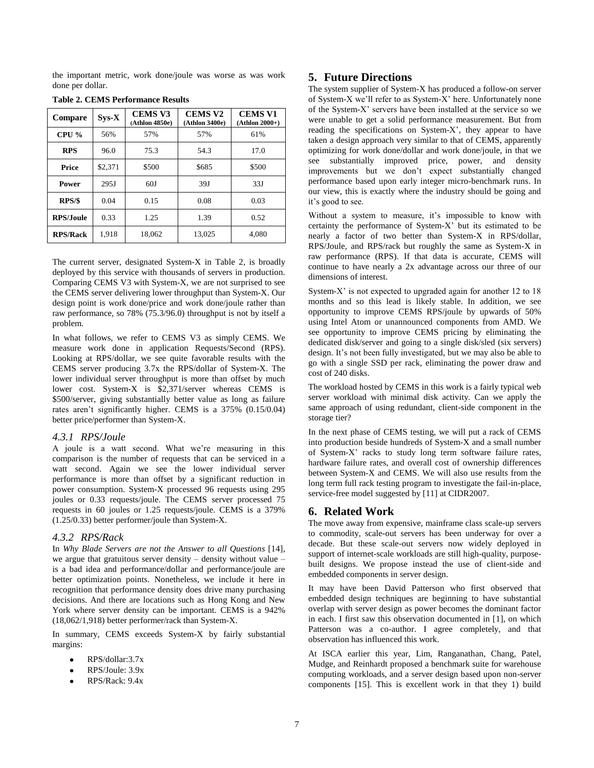the important metric, work done/joule was worse as was work done per dollar.

| Compare          | $SvS-X$ | <b>CEMS V3</b><br>(Athlon 4850e) | <b>CEMS V2</b><br>(Athlon 3400e) | <b>CEMS V1</b><br>$(Athlon 2000+)$ |
|------------------|---------|----------------------------------|----------------------------------|------------------------------------|
| $CPU\%$          | 56%     | 57%                              | 57%                              | 61%                                |
| <b>RPS</b>       | 96.0    | 75.3                             | 54.3                             | 17.0                               |
| Price            | \$2,371 | \$500                            | \$685                            | \$500                              |
| <b>Power</b>     | 295J    | 60J                              | 39J                              | 33J                                |
| RPS/S            | 0.04    | 0.15                             | 0.08                             | 0.03                               |
| <b>RPS/Joule</b> | 0.33    | 1.25                             | 1.39                             | 0.52                               |
| <b>RPS/Rack</b>  | 1.918   | 18.062                           | 13.025                           | 4,080                              |

#### **Table 2. CEMS Performance Results**

The current server, designated System-X in Table 2, is broadly deployed by this service with thousands of servers in production. Comparing CEMS V3 with System-X, we are not surprised to see the CEMS server delivering lower throughput than System-X. Our design point is work done/price and work done/joule rather than raw performance, so 78% (75.3/96.0) throughput is not by itself a problem.

In what follows, we refer to CEMS V3 as simply CEMS. We measure work done in application Requests/Second (RPS). Looking at RPS/dollar, we see quite favorable results with the CEMS server producing 3.7x the RPS/dollar of System-X. The lower individual server throughput is more than offset by much lower cost. System-X is \$2,371/server whereas CEMS is \$500/server, giving substantially better value as long as failure rates aren't significantly higher. CEMS is a 375% (0.15/0.04) better price/performer than System-X.

#### *4.3.1 RPS/Joule*

A joule is a watt second. What we're measuring in this comparison is the number of requests that can be serviced in a watt second. Again we see the lower individual server performance is more than offset by a significant reduction in power consumption. System-X processed 96 requests using 295 joules or 0.33 requests/joule. The CEMS server processed 75 requests in 60 joules or 1.25 requests/joule. CEMS is a 379% (1.25/0.33) better performer/joule than System-X.

#### *4.3.2 RPS/Rack*

In *Why Blade Servers are not the Answer to all Questions* [14], we argue that gratuitous server density – density without value – is a bad idea and performance/dollar and performance/joule are better optimization points. Nonetheless, we include it here in recognition that performance density does drive many purchasing decisions. And there are locations such as Hong Kong and New York where server density can be important. CEMS is a 942% (18,062/1,918) better performer/rack than System-X.

In summary, CEMS exceeds System-X by fairly substantial margins:

- RPS/dollar:3.7x
- RPS/Joule: 3.9x
- RPS/Rack: 9.4x

#### **5. Future Directions**

The system supplier of System-X has produced a follow-on server of System-X we'll refer to as System-X' here. Unfortunately none of the System-X' servers have been installed at the service so we were unable to get a solid performance measurement. But from reading the specifications on System-X', they appear to have taken a design approach very similar to that of CEMS, apparently optimizing for work done/dollar and work done/joule, in that we see substantially improved price, power, and density improvements but we don't expect substantially changed performance based upon early integer micro-benchmark runs. In our view, this is exactly where the industry should be going and it's good to see.

Without a system to measure, it's impossible to know with certainty the performance of System-X' but its estimated to be nearly a factor of two better than System-X in RPS/dollar, RPS/Joule, and RPS/rack but roughly the same as System-X in raw performance (RPS). If that data is accurate, CEMS will continue to have nearly a 2x advantage across our three of our dimensions of interest.

System-X' is not expected to upgraded again for another 12 to 18 months and so this lead is likely stable. In addition, we see opportunity to improve CEMS RPS/joule by upwards of 50% using Intel Atom or unannounced components from AMD. We see opportunity to improve CEMS pricing by eliminating the dedicated disk/server and going to a single disk/sled (six servers) design. It's not been fully investigated, but we may also be able to go with a single SSD per rack, eliminating the power draw and cost of 240 disks.

The workload hosted by CEMS in this work is a fairly typical web server workload with minimal disk activity. Can we apply the same approach of using redundant, client-side component in the storage tier?

In the next phase of CEMS testing, we will put a rack of CEMS into production beside hundreds of System-X and a small number of System-X' racks to study long term software failure rates, hardware failure rates, and overall cost of ownership differences between System-X and CEMS. We will also use results from the long term full rack testing program to investigate the fail-in-place, service-free model suggested by [11] at CIDR2007.

#### **6. Related Work**

The move away from expensive, mainframe class scale-up servers to commodity, scale-out servers has been underway for over a decade. But these scale-out servers now widely deployed in support of internet-scale workloads are still high-quality, purposebuilt designs. We propose instead the use of client-side and embedded components in server design.

It may have been David Patterson who first observed that embedded design techniques are beginning to have substantial overlap with server design as power becomes the dominant factor in each. I first saw this observation documented in [1], on which Patterson was a co-author. I agree completely, and that observation has influenced this work.

At ISCA earlier this year, Lim, Ranganathan, Chang, Patel, Mudge, and Reinhardt proposed a benchmark suite for warehouse computing workloads, and a server design based upon non-server components [15]. This is excellent work in that they 1) build